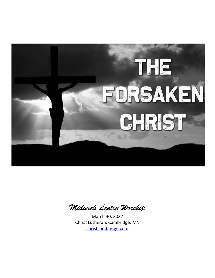

*Midweek Lenten Worship*

March 30, 2022 Christ Lutheran, Cambridge, MN [christcambridge.com](https://www.christcambridge.com/)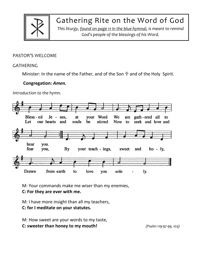

Gathering Rite on the Word of God

*This liturgy, found on page 11 in the blue hymnal, is meant to remind God's people of the blessings of his Word.*

# PASTOR'S WELCOME

### GATHERING

Minister: In the name of the Father, and of the Son  $\hat{T}$  and of the Holy Spirit.

## **Congregation:** *Amen.*

*Introduction to the hymn.*



M: Your commands make me wiser than my enemies,

**C: For they are ever with me.**

M: I have more insight than all my teachers, **C: for I meditate on your statutes.**

M: How sweet are your words to my taste,

**C: sweeter than honey to my mouth!** *(Psalm 119:97-99, 103)*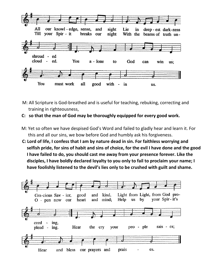

- M: All Scripture is God-breathed and is useful for teaching, rebuking, correcting and training in righteousness,
- **C: so that the man of God may be thoroughly equipped for every good work.**
- M: Yet so often we have despised God's Word and failed to gladly hear and learn it. For this and all our sins, we bow before God and humbly ask his forgiveness.
- **C: Lord of life, I confess that I am by nature dead in sin. For faithless worrying and selfish pride, for sins of habit and sins of choice, for the evil I have done and the good I have failed to do, you should cast me away from your presence forever. Like the disciples, I have boldly declared loyalty to you only to fail to proclaim your name; I have foolishly listened to the devil's lies only to be crushed with guilt and shame.**

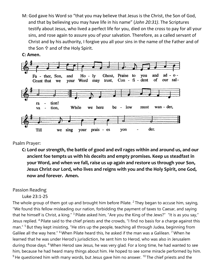M: God gave his Word so "that you may believe that Jesus is the Christ, the Son of God, and that by believing you may have life in his name" (*John 20:31)*. The Scriptures testify about Jesus, who lived a perfect life for you, died on the cross to pay for all your sins, and rose again to assure you of your salvation. Therefore, as a called servant of Christ and by his authority, I forgive you all your sins in the name of the Father and of the Son  $\oplus$  and of the Holy Spirit.





# Psalm Prayer:

**C: Lord our strength, the battle of good and evil rages within and around us, and our ancient foe tempts us with his deceits and empty promises. Keep us steadfast in your Word, and when we fall, raise us up again and restore us through your Son, Jesus Christ our Lord, who lives and reigns with you and the Holy Spirit, one God, now and forever. Amen.**

# Passion Reading

# Luke 23:1-25

The whole group of them got up and brought him before Pilate.  $2$  They began to accuse him, saying, "We found this fellow misleading our nation, forbidding the payment of taxes to Caesar, and saying that he himself is Christ, a king." <sup>3</sup> Pilate asked him, "Are you the King of the Jews?" "It is as you say," Jesus replied. <sup>4</sup> Pilate said to the chief priests and the crowds, "I find no basis for a charge against this man." <sup>5</sup> But they kept insisting, "He stirs up the people, teaching all through Judea, beginning from Galilee all the way here." <sup>6</sup> When Pilate heard this, he asked if the man was a Galilean. <sup>7</sup> When he learned that he was under Herod's jurisdiction, he sent him to Herod, who was also in Jerusalem during those days. <sup>8</sup> When Herod saw Jesus, he was very glad. For a long time, he had wanted to see him, because he had heard many things about him. He hoped to see some miracle performed by him.  $9$  He questioned him with many words, but Jesus gave him no answer.  $10$  The chief priests and the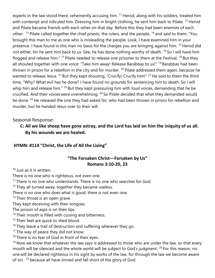experts in the law stood there, vehemently accusing him. <sup>11</sup> Herod, along with his soldiers, treated him with contempt and ridiculed him. Dressing him in bright clothing, he sent him back to Pilate. <sup>12</sup> Herod and Pilate became friends with each other on that day. Before this they had been enemies of each other. <sup>13</sup> Pilate called together the chief priests, the rulers, and the people, <sup>14</sup> and said to them, "You brought this man to me as one who is misleading the people. Look, I have examined him in your presence. I have found in this man no basis for the charges you are bringing against him. <sup>15</sup> Herod did not either, for he sent him back to us. See, he has done nothing worthy of death. <sup>16</sup> So I will have him flogged and release him." <sup>17</sup> Pilate needed to release one prisoner to them at the Festival. <sup>18</sup> But they all shouted together with one voice: "Take him away! Release Barabbas to us!" <sup>19</sup> Barabbas had been thrown in prison for a rebellion in the city and for murder. <sup>20</sup> Pilate addressed them again, because he wanted to release Jesus. <sup>21</sup> But they kept shouting, "Crucify! Crucify him!" <sup>22</sup> He said to them the third time, "Why? What evil has he done? I have found no grounds for sentencing him to death. So I will whip him and release him." <sup>23</sup> But they kept pressuring him with loud voices, demanding that he be crucified. And their voices were overwhelming. <sup>24</sup> So Pilate decided that what they demanded would be done. <sup>25</sup> He released the one they had asked for, who had been thrown in prison for rebellion and murder, but he handed Jesus over to their will.

# Seasonal Response:

# **C: All we like sheep have gone astray, and the Lord has laid on him the iniquity of us all. By his wounds we are healed.**

# **HYMN: #114 "Christ, the Life of All the Living"**

## **"The Forsaken Christ---Forsaken by Us" Romans 3:10-20, 23**

<sup>10</sup> Just as it is written:

There is no one who is righteous, not even one.

 $11$  There is no one who understands. There is no one who searches for God.

 $12$  They all turned away; together they became useless.

There is no one who does what is good; there is not even one.

 $13$  Their throat is an open grave.

They kept deceiving with their tongues.

The poison of asps is on their lips.

<sup>14</sup> Their mouth is filled with cursing and bitterness.

<sup>15</sup> Their feet are quick to shed blood.

 $16$  They leave a trail of destruction and suffering wherever they go.

 $17$  The way of peace they did not know.

 $18$  There is no fear of God in front of their eyes.

 $19$  Now we know that whatever the law says is addressed to those who are under the law, so that every mouth will be silenced and the whole world will be subject to God's judgment. <sup>20</sup> For this reason, no one will be declared righteous in his sight by works of the law, for through the law we become aware of sin. <sup>23</sup> because all have sinned and fall short of the glory of God.